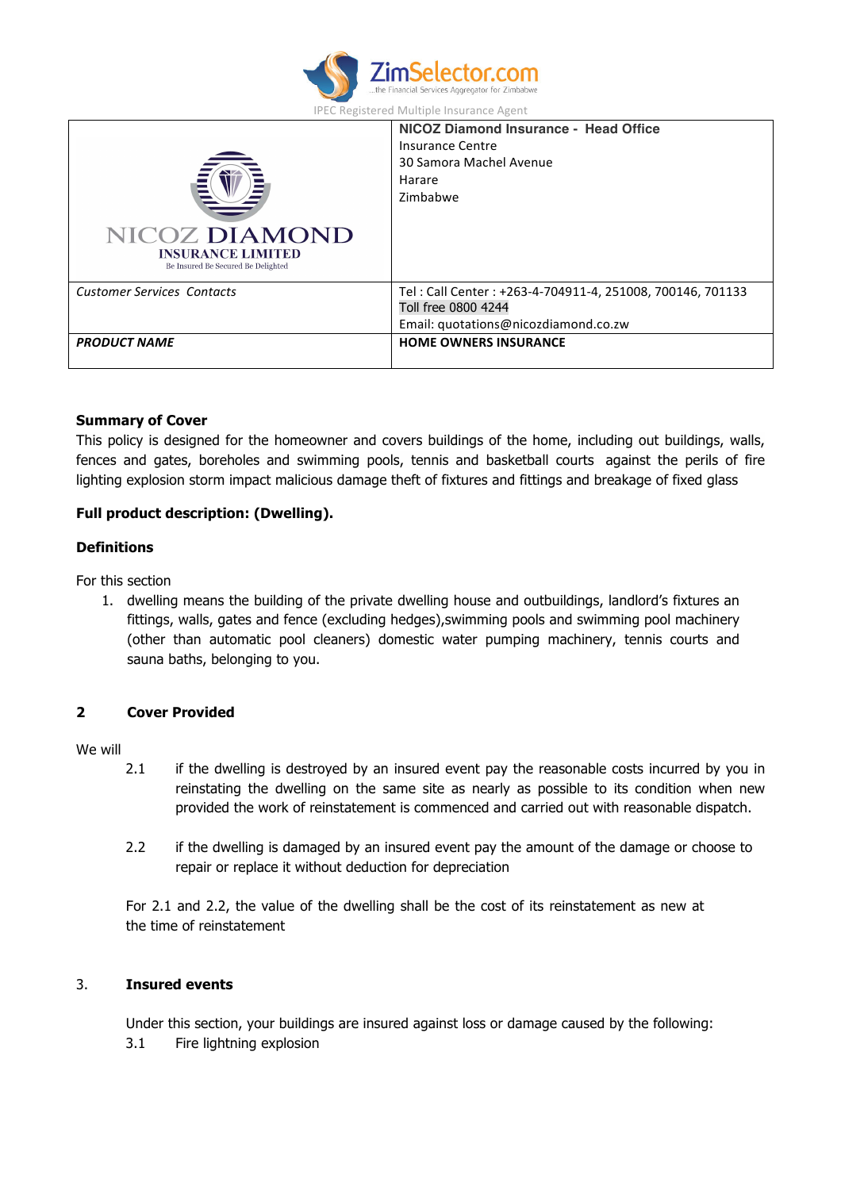

| IPEC Registered Multiple Insurance Agent |  |
|------------------------------------------|--|
|------------------------------------------|--|

| <b>NICOZ DIAMOND</b><br><b>INSURANCE LIMITED</b><br>Be Insured Be Secured Be Delighted | NICOZ Diamond Insurance - Head Office<br>Insurance Centre<br>30 Samora Machel Avenue<br>Harare<br>Zimbabwe               |
|----------------------------------------------------------------------------------------|--------------------------------------------------------------------------------------------------------------------------|
| <b>Customer Services Contacts</b>                                                      | Tel: Call Center: +263-4-704911-4, 251008, 700146, 701133<br>Toll free 0800 4244<br>Email: quotations@nicozdiamond.co.zw |
| <b>PRODUCT NAME</b>                                                                    | <b>HOME OWNERS INSURANCE</b>                                                                                             |

#### **Summary of Cover**

This policy is designed for the homeowner and covers buildings of the home, including out buildings, walls, fences and gates, boreholes and swimming pools, tennis and basketball courts against the perils of fire lighting explosion storm impact malicious damage theft of fixtures and fittings and breakage of fixed glass

# **Full product description: (Dwelling).**

### **Definitions**

For this section

1. dwelling means the building of the private dwelling house and outbuildings, landlord's fixtures an fittings, walls, gates and fence (excluding hedges),swimming pools and swimming pool machinery (other than automatic pool cleaners) domestic water pumping machinery, tennis courts and sauna baths, belonging to you.

# **2 Cover Provided**

#### We will

- 2.1 if the dwelling is destroyed by an insured event pay the reasonable costs incurred by you in reinstating the dwelling on the same site as nearly as possible to its condition when new provided the work of reinstatement is commenced and carried out with reasonable dispatch.
- 2.2 if the dwelling is damaged by an insured event pay the amount of the damage or choose to repair or replace it without deduction for depreciation

For 2.1 and 2.2, the value of the dwelling shall be the cost of its reinstatement as new at the time of reinstatement

## 3. **Insured events**

Under this section, your buildings are insured against loss or damage caused by the following: 3.1 Fire lightning explosion